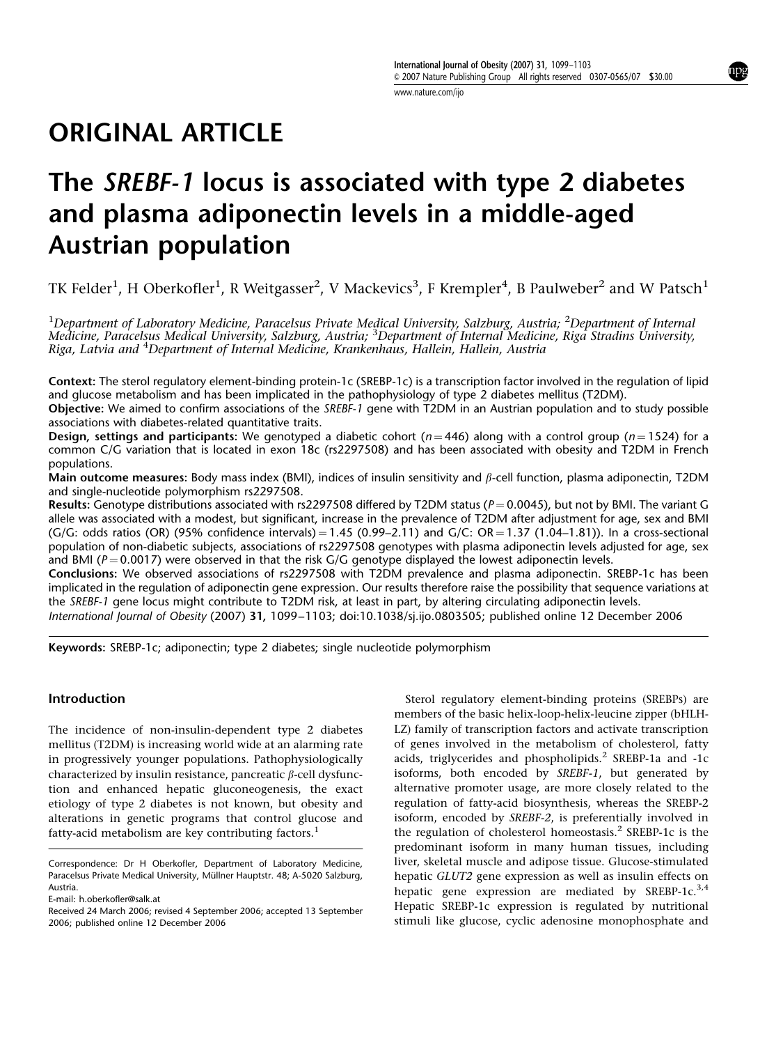www.nature.com/ijo

# ORIGINAL ARTICLE

# The SREBF-1 locus is associated with type 2 diabetes and plasma adiponectin levels in a middle-aged Austrian population

TK Felder<sup>1</sup>, H Oberkofler<sup>1</sup>, R Weitgasser<sup>2</sup>, V Mackevics<sup>3</sup>, F Krempler<sup>4</sup>, B Paulweber<sup>2</sup> and W Patsch<sup>1</sup>

<sup>1</sup>Department of Laboratory Medicine, Paracelsus Private Medical University, Salzburg, Austria; <sup>2</sup>Department of Internal Medicine, Paracelsus Medical University, Salzburg, Austria; <sup>3</sup>Department of Internal Medicine, Riga Stradins University, Riga, Latvia and <sup>4</sup>Department of Internal Medicine, Krankenhaus, Hallein, Hallein, Austria

Context: The sterol regulatory element-binding protein-1c (SREBP-1c) is a transcription factor involved in the regulation of lipid and glucose metabolism and has been implicated in the pathophysiology of type 2 diabetes mellitus (T2DM).

Objective: We aimed to confirm associations of the SREBF-1 gene with T2DM in an Austrian population and to study possible associations with diabetes-related quantitative traits.

**Design, settings and participants:** We genotyped a diabetic cohort ( $n = 446$ ) along with a control group ( $n = 1524$ ) for a common C/G variation that is located in exon 18c (rs2297508) and has been associated with obesity and T2DM in French populations.

Main outcome measures: Body mass index (BMI), indices of insulin sensitivity and  $\beta$ -cell function, plasma adiponectin, T2DM and single-nucleotide polymorphism rs2297508.

Results: Genotype distributions associated with rs2297508 differed by T2DM status ( $P = 0.0045$ ), but not by BMI. The variant G allele was associated with a modest, but significant, increase in the prevalence of T2DM after adjustment for age, sex and BMI  $(G/G:$  odds ratios (OR) (95% confidence intervals) = 1.45 (0.99–2.11) and  $G/C:$  OR = 1.37 (1.04–1.81)). In a cross-sectional population of non-diabetic subjects, associations of rs2297508 genotypes with plasma adiponectin levels adjusted for age, sex and BMI ( $P = 0.0017$ ) were observed in that the risk G/G genotype displayed the lowest adiponectin levels.

Conclusions: We observed associations of rs2297508 with T2DM prevalence and plasma adiponectin. SREBP-1c has been implicated in the regulation of adiponectin gene expression. Our results therefore raise the possibility that sequence variations at the SREBF-1 gene locus might contribute to T2DM risk, at least in part, by altering circulating adiponectin levels.

International Journal of Obesity (2007) 31, 1099–1103; doi:10.1038/sj.ijo.0803505; published online 12 December 2006

Keywords: SREBP-1c; adiponectin; type 2 diabetes; single nucleotide polymorphism

# Introduction

The incidence of non-insulin-dependent type 2 diabetes mellitus (T2DM) is increasing world wide at an alarming rate in progressively younger populations. Pathophysiologically characterized by insulin resistance, pancreatic  $\beta$ -cell dysfunction and enhanced hepatic gluconeogenesis, the exact etiology of type 2 diabetes is not known, but obesity and alterations in genetic programs that control glucose and fatty-acid metabolism are key contributing factors.<sup>1</sup>

Sterol regulatory element-binding proteins (SREBPs) are members of the basic helix-loop-helix-leucine zipper (bHLH-LZ) family of transcription factors and activate transcription of genes involved in the metabolism of cholesterol, fatty acids, triglycerides and phospholipids.<sup>2</sup> SREBP-1a and -1c isoforms, both encoded by SREBF-1, but generated by alternative promoter usage, are more closely related to the regulation of fatty-acid biosynthesis, whereas the SREBP-2 isoform, encoded by SREBF-2, is preferentially involved in the regulation of cholesterol homeostasis.<sup>2</sup> SREBP-1c is the predominant isoform in many human tissues, including liver, skeletal muscle and adipose tissue. Glucose-stimulated hepatic GLUT2 gene expression as well as insulin effects on hepatic gene expression are mediated by SREBP-1c.<sup>3,4</sup> Hepatic SREBP-1c expression is regulated by nutritional stimuli like glucose, cyclic adenosine monophosphate and

Correspondence: Dr H Oberkofler, Department of Laboratory Medicine, Paracelsus Private Medical University, Müllner Hauptstr. 48; A-5020 Salzburg, Austria.

E-mail: h.oberkofler@salk.at

Received 24 March 2006; revised 4 September 2006; accepted 13 September 2006; published online 12 December 2006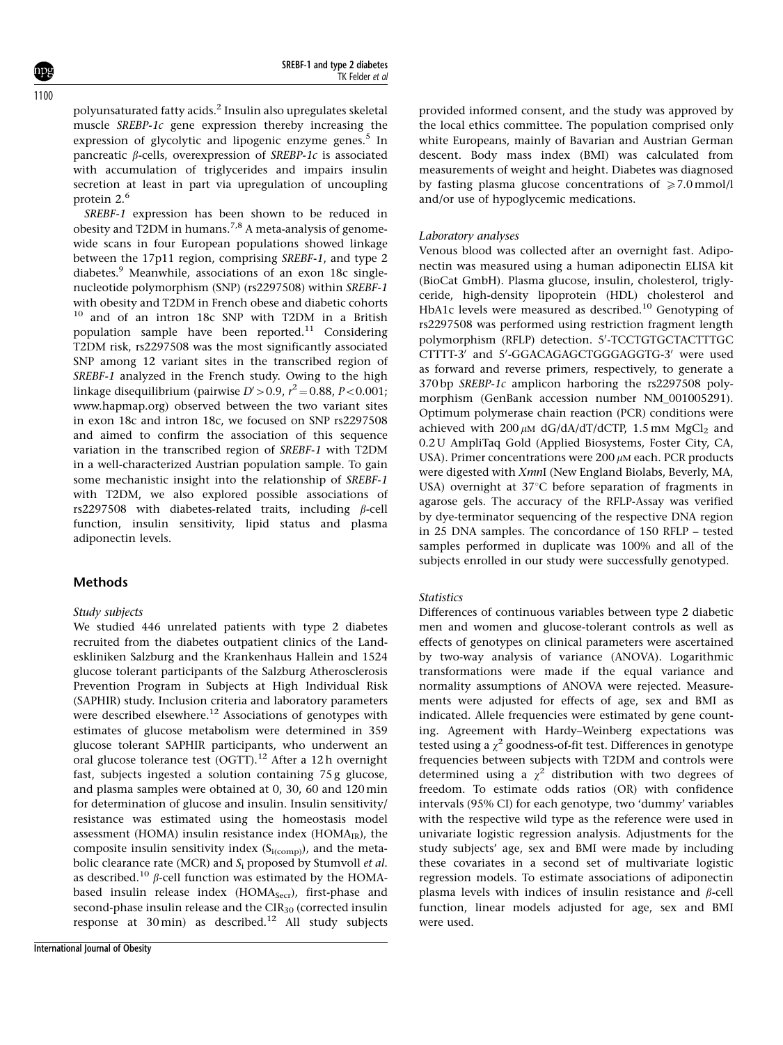polyunsaturated fatty acids.2 Insulin also upregulates skeletal muscle SREBP-1c gene expression thereby increasing the expression of glycolytic and lipogenic enzyme genes. $5$  In pancreatic  $\beta$ -cells, overexpression of SREBP-1c is associated with accumulation of triglycerides and impairs insulin secretion at least in part via upregulation of uncoupling protein 2.<sup>6</sup>

SREBF-1 expression has been shown to be reduced in obesity and T2DM in humans.<sup>7,8</sup> A meta-analysis of genomewide scans in four European populations showed linkage between the 17p11 region, comprising SREBF-1, and type 2 diabetes.<sup>9</sup> Meanwhile, associations of an exon 18c singlenucleotide polymorphism (SNP) (rs2297508) within SREBF-1 with obesity and T2DM in French obese and diabetic cohorts <sup>10</sup> and of an intron 18c SNP with T2DM in a British population sample have been reported.<sup>11</sup> Considering T2DM risk, rs2297508 was the most significantly associated SNP among 12 variant sites in the transcribed region of SREBF-1 analyzed in the French study. Owing to the high linkage disequilibrium (pairwise  $D'$ >0.9,  $r^2$  = 0.88, P<0.001; www.hapmap.org) observed between the two variant sites in exon 18c and intron 18c, we focused on SNP rs2297508 and aimed to confirm the association of this sequence variation in the transcribed region of SREBF-1 with T2DM in a well-characterized Austrian population sample. To gain some mechanistic insight into the relationship of SREBF-1 with T2DM, we also explored possible associations of rs2297508 with diabetes-related traits, including  $\beta$ -cell function, insulin sensitivity, lipid status and plasma adiponectin levels.

# **Methods**

#### Study subjects

We studied 446 unrelated patients with type 2 diabetes recruited from the diabetes outpatient clinics of the Landeskliniken Salzburg and the Krankenhaus Hallein and 1524 glucose tolerant participants of the Salzburg Atherosclerosis Prevention Program in Subjects at High Individual Risk (SAPHIR) study. Inclusion criteria and laboratory parameters were described elsewhere.<sup>12</sup> Associations of genotypes with estimates of glucose metabolism were determined in 359 glucose tolerant SAPHIR participants, who underwent an oral glucose tolerance test (OGTT).<sup>12</sup> After a 12 h overnight fast, subjects ingested a solution containing 75 g glucose, and plasma samples were obtained at 0, 30, 60 and 120 min for determination of glucose and insulin. Insulin sensitivity/ resistance was estimated using the homeostasis model assessment (HOMA) insulin resistance index (HOMA $_{IR}$ ), the composite insulin sensitivity index  $(S_{i(comp)})$ , and the metabolic clearance rate (MCR) and  $S_i$  proposed by Stumvoll *et al.* as described.<sup>10</sup>  $\beta$ -cell function was estimated by the HOMAbased insulin release index (HOMA<sub>Secr</sub>), first-phase and second-phase insulin release and the  $CIR<sub>30</sub>$  (corrected insulin response at  $30 \text{ min}$ ) as described.<sup>12</sup> All study subjects provided informed consent, and the study was approved by the local ethics committee. The population comprised only white Europeans, mainly of Bavarian and Austrian German descent. Body mass index (BMI) was calculated from measurements of weight and height. Diabetes was diagnosed by fasting plasma glucose concentrations of  $\geq 7.0 \text{ mmol/l}$ and/or use of hypoglycemic medications.

#### Laboratory analyses

Venous blood was collected after an overnight fast. Adiponectin was measured using a human adiponectin ELISA kit (BioCat GmbH). Plasma glucose, insulin, cholesterol, triglyceride, high-density lipoprotein (HDL) cholesterol and HbA1c levels were measured as described.<sup>10</sup> Genotyping of rs2297508 was performed using restriction fragment length polymorphism (RFLP) detection. 5'-TCCTGTGCTACTTTGC CTTTT-3' and 5'-GGACAGAGCTGGGAGGTG-3' were used as forward and reverse primers, respectively, to generate a 370 bp SREBP-1c amplicon harboring the rs2297508 polymorphism (GenBank accession number NM\_001005291). Optimum polymerase chain reaction (PCR) conditions were achieved with  $200 \mu M$  dG/dA/dT/dCTP, 1.5 mM MgCl<sub>2</sub> and 0.2 U AmpliTaq Gold (Applied Biosystems, Foster City, CA, USA). Primer concentrations were  $200 \mu$ M each. PCR products were digested with XmnI (New England Biolabs, Beverly, MA, USA) overnight at  $37^{\circ}$ C before separation of fragments in agarose gels. The accuracy of the RFLP-Assay was verified by dye-terminator sequencing of the respective DNA region in 25 DNA samples. The concordance of 150 RFLP – tested samples performed in duplicate was 100% and all of the subjects enrolled in our study were successfully genotyped.

#### **Statistics**

Differences of continuous variables between type 2 diabetic men and women and glucose-tolerant controls as well as effects of genotypes on clinical parameters were ascertained by two-way analysis of variance (ANOVA). Logarithmic transformations were made if the equal variance and normality assumptions of ANOVA were rejected. Measurements were adjusted for effects of age, sex and BMI as indicated. Allele frequencies were estimated by gene counting. Agreement with Hardy–Weinberg expectations was tested using a  $\gamma^2$  goodness-of-fit test. Differences in genotype frequencies between subjects with T2DM and controls were determined using a  $\chi^2$  distribution with two degrees of freedom. To estimate odds ratios (OR) with confidence intervals (95% CI) for each genotype, two 'dummy' variables with the respective wild type as the reference were used in univariate logistic regression analysis. Adjustments for the study subjects' age, sex and BMI were made by including these covariates in a second set of multivariate logistic regression models. To estimate associations of adiponectin plasma levels with indices of insulin resistance and  $\beta$ -cell function, linear models adjusted for age, sex and BMI were used.

 $1100$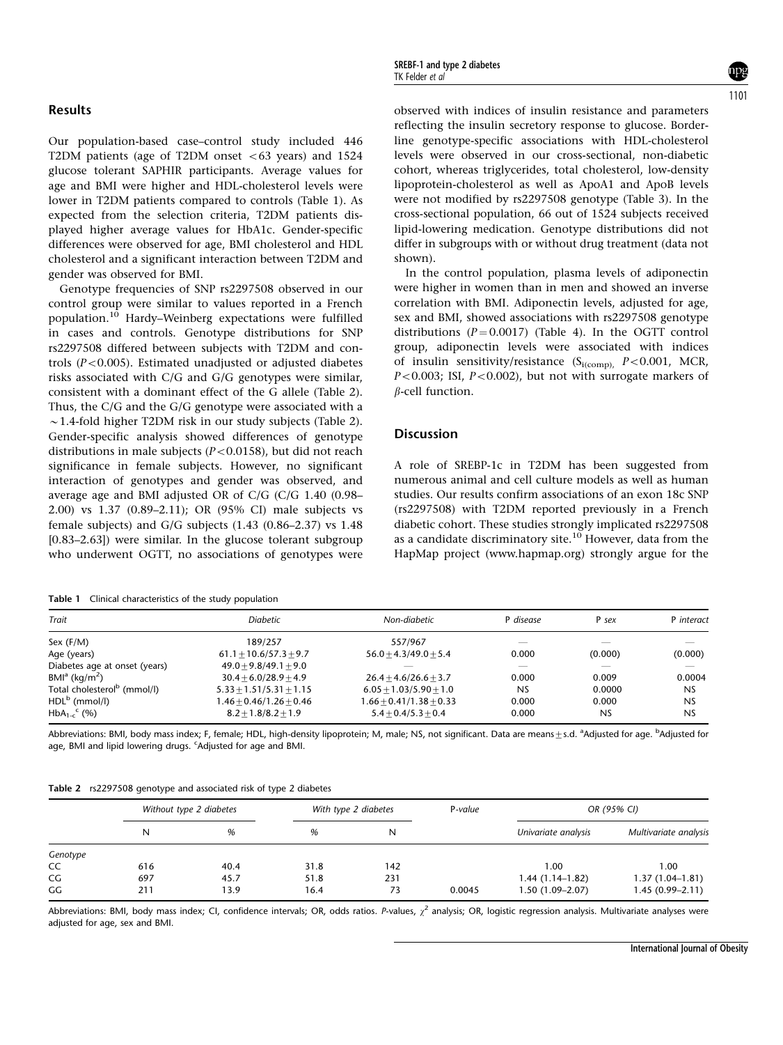## Results

Our population-based case–control study included 446 T2DM patients (age of T2DM onset  $<$  63 years) and 1524 glucose tolerant SAPHIR participants. Average values for age and BMI were higher and HDL-cholesterol levels were lower in T2DM patients compared to controls (Table 1). As expected from the selection criteria, T2DM patients displayed higher average values for HbA1c. Gender-specific differences were observed for age, BMI cholesterol and HDL cholesterol and a significant interaction between T2DM and gender was observed for BMI.

Genotype frequencies of SNP rs2297508 observed in our control group were similar to values reported in a French population.<sup>10</sup> Hardy–Weinberg expectations were fulfilled in cases and controls. Genotype distributions for SNP rs2297508 differed between subjects with T2DM and controls ( $P < 0.005$ ). Estimated unadjusted or adjusted diabetes risks associated with C/G and G/G genotypes were similar, consistent with a dominant effect of the G allele (Table 2). Thus, the C/G and the G/G genotype were associated with a  $\sim$  1.4-fold higher T2DM risk in our study subjects (Table 2). Gender-specific analysis showed differences of genotype distributions in male subjects ( $P < 0.0158$ ), but did not reach significance in female subjects. However, no significant interaction of genotypes and gender was observed, and average age and BMI adjusted OR of C/G (C/G 1.40 (0.98– 2.00) vs 1.37 (0.89–2.11); OR (95% CI) male subjects vs female subjects) and G/G subjects (1.43 (0.86–2.37) vs 1.48 [0.83–2.63]) were similar. In the glucose tolerant subgroup who underwent OGTT, no associations of genotypes were

Table 1 Clinical characteristics of the study population

observed with indices of insulin resistance and parameters reflecting the insulin secretory response to glucose. Borderline genotype-specific associations with HDL-cholesterol levels were observed in our cross-sectional, non-diabetic cohort, whereas triglycerides, total cholesterol, low-density lipoprotein-cholesterol as well as ApoA1 and ApoB levels were not modified by rs2297508 genotype (Table 3). In the cross-sectional population, 66 out of 1524 subjects received lipid-lowering medication. Genotype distributions did not differ in subgroups with or without drug treatment (data not shown).

In the control population, plasma levels of adiponectin were higher in women than in men and showed an inverse correlation with BMI. Adiponectin levels, adjusted for age, sex and BMI, showed associations with rs2297508 genotype distributions ( $P = 0.0017$ ) (Table 4). In the OGTT control group, adiponectin levels were associated with indices of insulin sensitivity/resistance  $(S_{i(comp)}$ ,  $P<0.001$ , MCR,  $P<0.003$ ; ISI,  $P<0.002$ ), but not with surrogate markers of  $\beta$ -cell function.

## **Discussion**

A role of SREBP-1c in T2DM has been suggested from numerous animal and cell culture models as well as human studies. Our results confirm associations of an exon 18c SNP (rs2297508) with T2DM reported previously in a French diabetic cohort. These studies strongly implicated rs2297508 as a candidate discriminatory site.<sup>10</sup> However, data from the HapMap project (www.hapmap.org) strongly argue for the

| Trait                                   | Diabetic                  | Non-diabetic              | P disease | P sex     | P interact     |  |
|-----------------------------------------|---------------------------|---------------------------|-----------|-----------|----------------|--|
| Sex $(F/M)$                             | 189/257                   | 557/967                   |           |           |                |  |
| Age (years)                             | $61.1 + 10.6/57.3 + 9.7$  | $56.0 + 4.3/49.0 + 5.4$   | 0.000     | (0.000)   | (0.000)        |  |
| Diabetes age at onset (years)           | $49.0 + 9.8/49.1 + 9.0$   |                           |           |           |                |  |
| $BMla$ (kg/m <sup>2</sup> )             | $30.4 + 6.0/28.9 + 4.9$   | $26.4 + 4.6/26.6 + 3.7$   | 0.000     | 0.009     | 0.0004         |  |
| Total cholesterol <sup>b</sup> (mmol/l) | $5.33 + 1.51/5.31 + 1.15$ | $6.05 + 1.03/5.90 + 1.0$  | <b>NS</b> | 0.0000    | <b>NS</b>      |  |
| $HDLb$ (mmol/l)                         | $1.46 + 0.46/1.26 + 0.46$ | $1.66 + 0.41/1.38 + 0.33$ | 0.000     | 0.000     | N <sub>S</sub> |  |
| $HbA_{1-c}^C$ (%)                       | $8.2 + 1.8/8.2 + 1.9$     | $5.4 + 0.4/5.3 + 0.4$     | 0.000     | <b>NS</b> | N <sub>S</sub> |  |

Abbreviations: BMI, body mass index; F, female; HDL, high-density lipoprotein; M, male; NS, not significant. Data are means $\pm$ s.d. <sup>a</sup>Adjusted for age. <sup>b</sup>Adjusted for age, BMI and lipid lowering drugs. <sup>c</sup>Adjusted for age and BMI.

| Table 2 rs2297508 genotype and associated risk of type 2 diabetes |  |  |  |  |
|-------------------------------------------------------------------|--|--|--|--|
|                                                                   |  |  |  |  |

|          | Without type 2 diabetes |      |      | With type 2 diabetes |        | OR (95% CI)         |                       |  |
|----------|-------------------------|------|------|----------------------|--------|---------------------|-----------------------|--|
|          | N                       | %    | %    | N                    |        | Univariate analysis | Multivariate analysis |  |
| Genotype |                         |      |      |                      |        |                     |                       |  |
| CC       | 616                     | 40.4 | 31.8 | 142                  |        | 1.00                | 1.00                  |  |
| CG       | 697                     | 45.7 | 51.8 | 231                  |        | $1.44(1.14-1.82)$   | $1.37(1.04-1.81)$     |  |
| GG       | 211                     | 13.9 | 16.4 | 73                   | 0.0045 | $1.50(1.09 - 2.07)$ | $1.45(0.99 - 2.11)$   |  |

Abbreviations: BMI, body mass index; CI, confidence intervals; OR, odds ratios. P-values,  $\chi^2$  analysis; OR, logistic regression analysis. Multivariate analyses were adjusted for age, sex and BMI.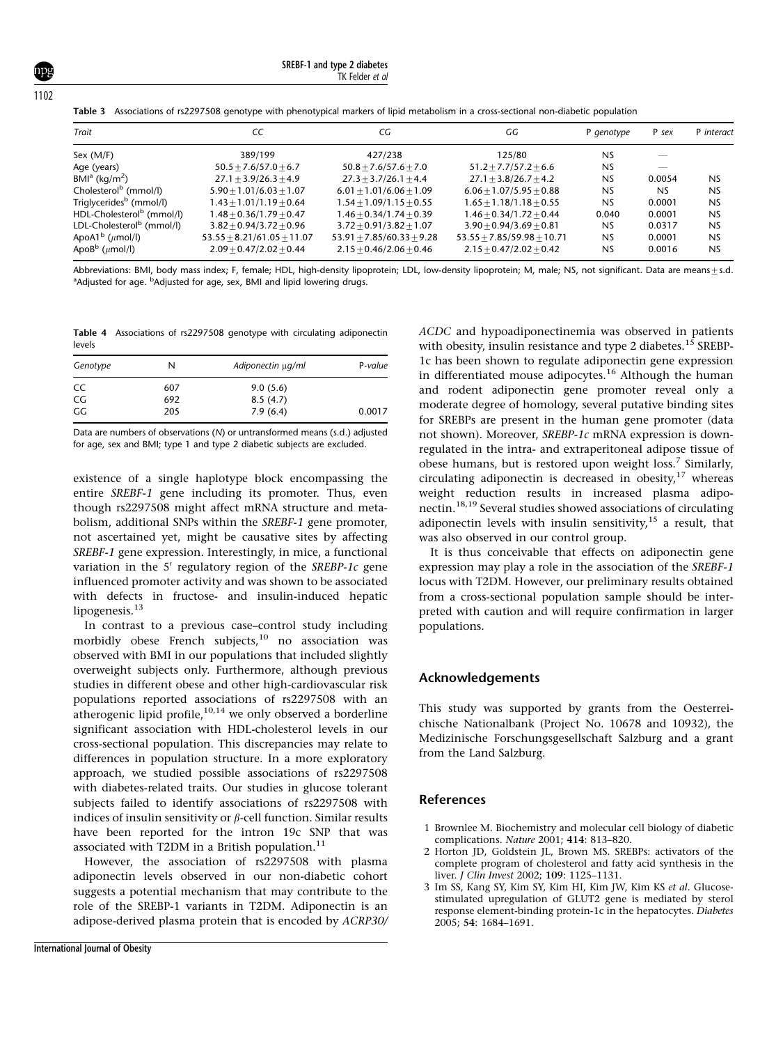SREBF-1 and type 2 diabetes .<br>TK Felder *et al* 

Table 3 Associations of rs2297508 genotype with phenotypical markers of lipid metabolism in a cross-sectional non-diabetic population

| Trait                                 | CC                           | СG                          | GG                           | P genotype | P sex     | P interact     |
|---------------------------------------|------------------------------|-----------------------------|------------------------------|------------|-----------|----------------|
| Sex $(M/F)$                           | 389/199                      | 427/238                     | 125/80                       | NS         |           |                |
| Age (years)                           | $50.5 + 7.6/57.0 + 6.7$      | $50.8 + 7.6/57.6 + 7.0$     | $51.2 + 7.7/57.2 + 6.6$      | <b>NS</b>  |           |                |
| $BMIa$ (kg/m <sup>2</sup> )           | $27.1 + 3.9/26.3 + 4.9$      | $27.3 + 3.7/26.1 + 4.4$     | $27.1 + 3.8/26.7 + 4.2$      | <b>NS</b>  | 0.0054    | N <sub>S</sub> |
| Cholesterol <sup>b</sup> (mmol/l)     | $5.90 + 1.01/6.03 + 1.07$    | $6.01 + 1.01/6.06 + 1.09$   | $6.06 + 1.07/5.95 + 0.88$    | <b>NS</b>  | <b>NS</b> | N <sub>S</sub> |
| Triglycerides <sup>b</sup> (mmol/l)   | $1.43 + 1.01/1.19 + 0.64$    | $1.54 + 1.09/1.15 + 0.55$   | $1.65 + 1.18/1.18 + 0.55$    | <b>NS</b>  | 0.0001    | <b>NS</b>      |
| HDL-Cholesterol <sup>b</sup> (mmol/l) | $1.48 + 0.36/1.79 + 0.47$    | $1.46 + 0.34/1.74 + 0.39$   | $1.46 + 0.34/1.72 + 0.44$    | 0.040      | 0.0001    | NS             |
| LDL-Cholesterol <sup>b</sup> (mmol/l) | $3.82 + 0.94/3.72 + 0.96$    | $3.72 + 0.91/3.82 + 1.07$   | $3.90 + 0.94/3.69 + 0.81$    | <b>NS</b>  | 0.0317    | N <sub>S</sub> |
| ApoA1 $^{\rm b}$ ( $\mu$ mol/l)       | $53.55 + 8.21/61.05 + 11.07$ | $53.91 + 7.85/60.33 + 9.28$ | $53.55 + 7.85/59.98 + 10.71$ | NS         | 0.0001    | N <sub>S</sub> |
| Apo $B^b$ ( $\mu$ mol/l)              | $2.09 + 0.47/2.02 + 0.44$    | $2.15 + 0.46/2.06 + 0.46$   | $2.15 + 0.47/2.02 + 0.42$    | <b>NS</b>  | 0.0016    | NS             |

Abbreviations: BMI, body mass index; F, female; HDL, high-density lipoprotein; LDL, low-density lipoprotein; M, male; NS, not significant. Data are means $\pm$ s.d. <sup>a</sup>Adjusted for age. <sup>b</sup>Adjusted for age, sex, BMI and lipid lowering drugs.

Table 4 Associations of rs2297508 genotype with circulating adiponectin levels

| Genotype | N   | Adiponectin µq/ml | P-value |  |
|----------|-----|-------------------|---------|--|
| CC.      | 607 | 9.0(5.6)          |         |  |
| CG.      | 692 | 8.5(4.7)          |         |  |
| GG       | 205 | 7.9(6.4)          | 0.0017  |  |

Data are numbers of observations (N) or untransformed means (s.d.) adjusted for age, sex and BMI; type 1 and type 2 diabetic subjects are excluded.

existence of a single haplotype block encompassing the entire SREBF-1 gene including its promoter. Thus, even though rs2297508 might affect mRNA structure and metabolism, additional SNPs within the SREBF-1 gene promoter, not ascertained yet, might be causative sites by affecting SREBF-1 gene expression. Interestingly, in mice, a functional variation in the  $5'$  regulatory region of the SREBP-1c gene influenced promoter activity and was shown to be associated with defects in fructose- and insulin-induced hepatic lipogenesis. $13$ 

In contrast to a previous case–control study including morbidly obese French subjects,<sup>10</sup> no association was observed with BMI in our populations that included slightly overweight subjects only. Furthermore, although previous studies in different obese and other high-cardiovascular risk populations reported associations of rs2297508 with an atherogenic lipid profile, $10,14$  we only observed a borderline significant association with HDL-cholesterol levels in our cross-sectional population. This discrepancies may relate to differences in population structure. In a more exploratory approach, we studied possible associations of rs2297508 with diabetes-related traits. Our studies in glucose tolerant subjects failed to identify associations of rs2297508 with indices of insulin sensitivity or  $\beta$ -cell function. Similar results have been reported for the intron 19c SNP that was associated with T2DM in a British population.<sup>11</sup>

However, the association of rs2297508 with plasma adiponectin levels observed in our non-diabetic cohort suggests a potential mechanism that may contribute to the role of the SREBP-1 variants in T2DM. Adiponectin is an adipose-derived plasma protein that is encoded by ACRP30/ ACDC and hypoadiponectinemia was observed in patients with obesity, insulin resistance and type 2 diabetes.<sup>15</sup> SREBP-1c has been shown to regulate adiponectin gene expression in differentiated mouse adipocytes.<sup>16</sup> Although the human and rodent adiponectin gene promoter reveal only a moderate degree of homology, several putative binding sites for SREBPs are present in the human gene promoter (data not shown). Moreover, SREBP-1c mRNA expression is downregulated in the intra- and extraperitoneal adipose tissue of obese humans, but is restored upon weight loss.<sup>7</sup> Similarly, circulating adiponectin is decreased in obesity, $17$  whereas weight reduction results in increased plasma adiponectin.18,19 Several studies showed associations of circulating adiponectin levels with insulin sensitivity,<sup>15</sup> a result, that was also observed in our control group.

It is thus conceivable that effects on adiponectin gene expression may play a role in the association of the SREBF-1 locus with T2DM. However, our preliminary results obtained from a cross-sectional population sample should be interpreted with caution and will require confirmation in larger populations.

## Acknowledgements

This study was supported by grants from the Oesterreichische Nationalbank (Project No. 10678 and 10932), the Medizinische Forschungsgesellschaft Salzburg and a grant from the Land Salzburg.

#### References

- 1 Brownlee M. Biochemistry and molecular cell biology of diabetic complications. Nature 2001; 414: 813–820.
- 2 Horton JD, Goldstein JL, Brown MS. SREBPs: activators of the complete program of cholesterol and fatty acid synthesis in the liver. J Clin Invest 2002; 109: 1125–1131.
- 3 Im SS, Kang SY, Kim SY, Kim HI, Kim JW, Kim KS et al. Glucosestimulated upregulation of GLUT2 gene is mediated by sterol response element-binding protein-1c in the hepatocytes. Diabetes 2005; 54: 1684–1691.